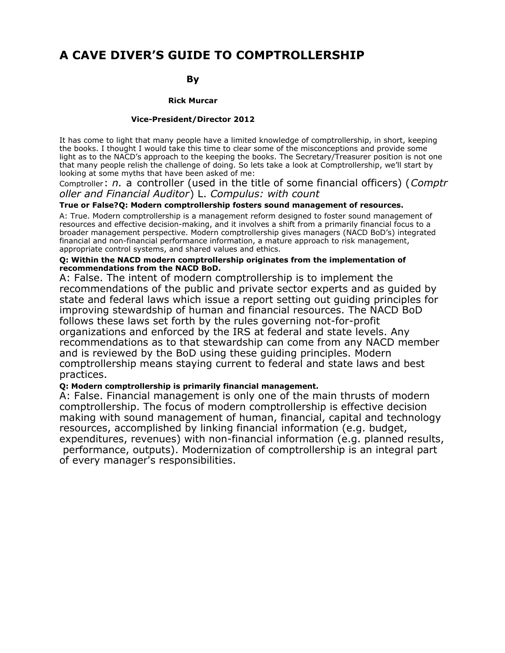# **A CAVE DIVER'S GUIDE TO COMPTROLLERSHIP**

# **By**

#### **Rick Murcar**

#### **Vice-President/Director 2012**

It has come to light that many people have a limited knowledge of comptrollership, in short, keeping the books. I thought I would take this time to clear some of the misconceptions and provide some light as to the NACD's approach to the keeping the books. The Secretary/Treasurer position is not one that many people relish the challenge of doing. So lets take a look at Comptrollership, we'll start by looking at some myths that have been asked of me:

Comptroller: *n.* a controller (used in the title of some financial officers) (*Comptr oller and Financial Auditor*) L. *Compulus: with count*

### **True or False?Q: Modern comptrollership fosters sound management of resources.**

A: True. Modern comptrollership is a management reform designed to foster sound management of resources and effective decision-making, and it involves a shift from a primarily financial focus to a broader management perspective. Modern comptrollership gives managers (NACD BoD's) integrated financial and non-financial performance information, a mature approach to risk management, appropriate control systems, and shared values and ethics.

#### **Q: Within the NACD modern comptrollership originates from the implementation of recommendations from the NACD BoD.**

A: False. The intent of modern comptrollership is to implement the recommendations of the public and private sector experts and as guided by state and federal laws which issue a report setting out guiding principles for improving stewardship of human and financial resources. The NACD BoD follows these laws set forth by the rules governing not-for-profit organizations and enforced by the IRS at federal and state levels. Any recommendations as to that stewardship can come from any NACD member and is reviewed by the BoD using these guiding principles. Modern comptrollership means staying current to federal and state laws and best practices.

### **Q: Modern comptrollership is primarily financial management.**

A: False. Financial management is only one of the main thrusts of modern comptrollership. The focus of modern comptrollership is effective decision making with sound management of human, financial, capital and technology resources, accomplished by linking financial information (e.g. budget, expenditures, revenues) with non-financial information (e.g. planned results, performance, outputs). Modernization of comptrollership is an integral part of every manager's responsibilities.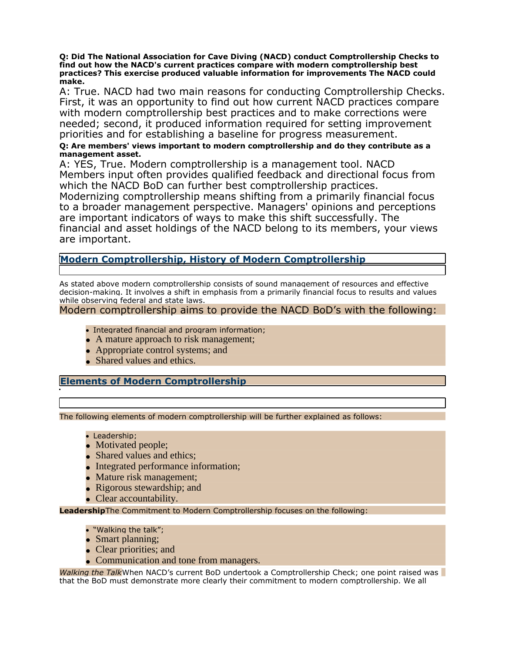**Q: Did The National Association for Cave Diving (NACD) conduct Comptrollership Checks to find out how the NACD's current practices compare with modern comptrollership best practices? This exercise produced valuable information for improvements The NACD could make.** 

A: True. NACD had two main reasons for conducting Comptrollership Checks. First, it was an opportunity to find out how current NACD practices compare with modern comptrollership best practices and to make corrections were needed; second, it produced information required for setting improvement priorities and for establishing a baseline for progress measurement.

# **Q: Are members' views important to modern comptrollership and do they contribute as a management asset.**

A: YES, True. Modern comptrollership is a management tool. NACD Members input often provides qualified feedback and directional focus from which the NACD BoD can further best comptrollership practices. Modernizing comptrollership means shifting from a primarily financial focus to a broader management perspective. Managers' opinions and perceptions are important indicators of ways to make this shift successfully. The financial and asset holdings of the NACD belong to its members, your views are important.

**Modern Comptrollership, History of Modern Comptrollership** 

As stated above modern comptrollership consists of sound management of resources and effective decision-making. It involves a shift in emphasis from a primarily financial focus to results and values while observing federal and state laws.

# Modern comptrollership aims to provide the NACD BoD's with the following:

- Integrated financial and program information;
- A mature approach to risk management;
- Appropriate control systems: and
- Shared values and ethics.

**Elements of Modern Comptrollership** 

The following elements of modern comptrollership will be further explained as follows:

- Leadership:
- Motivated people;
- Shared values and ethics;
- Integrated performance information;
- Mature risk management;
- Rigorous stewardship; and
- Clear accountability.

**Leadership**The Commitment to Modern Comptrollership focuses on the following:

- "Walking the talk";
- Smart planning;
- Clear priorities; and
- Communication and tone from managers.

*Walking the Talk* When NACD's current BoD undertook a Comptrollership Check; one point raised was that the BoD must demonstrate more clearly their commitment to modern comptrollership. We all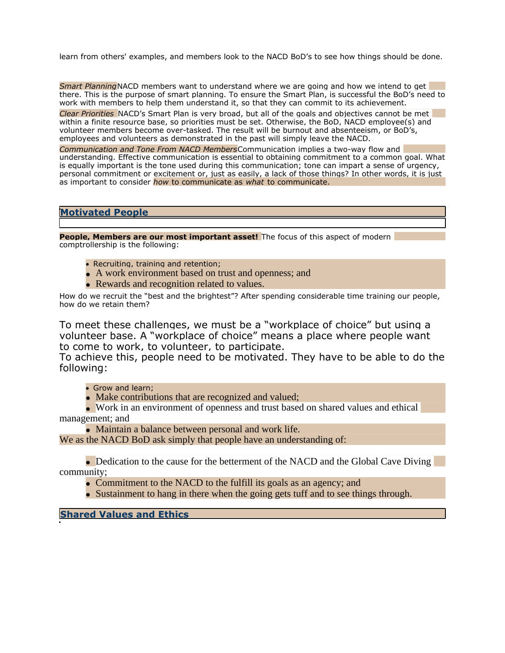learn from others' examples, and members look to the NACD BoD's to see how things should be done.

**Smart Planning** NACD members want to understand where we are going and how we intend to get there. This is the purpose of smart planning. To ensure the Smart Plan, is successful the BoD's need to work with members to help them understand it, so that they can commit to its achievement.

*Clear Priorities* NACD's Smart Plan is very broad, but all of the goals and objectives cannot be met within a finite resource base, so priorities must be set. Otherwise, the BoD, NACD employee(s) and volunteer members become over-tasked. The result will be burnout and absenteeism, or BoD's, employees and volunteers as demonstrated in the past will simply leave the NACD.

*Communication and Tone From NACD Members*Communication implies a two-way flow and understanding. Effective communication is essential to obtaining commitment to a common goal. What is equally important is the tone used during this communication; tone can impart a sense of urgency, personal commitment or excitement or, just as easily, a lack of those things? In other words, it is just as important to consider *how* to communicate as *what* to communicate.

## **Motivated People**

**People, Members are our most important asset!** The focus of this aspect of modern comptrollership is the following:

- Recruiting, training and retention;
- A work environment based on trust and openness; and
- Rewards and recognition related to values.

How do we recruit the "best and the brightest"? After spending considerable time training our people, how do we retain them?

To meet these challenges, we must be a "workplace of choice" but using a volunteer base. A "workplace of choice" means a place where people want to come to work, to volunteer, to participate.

To achieve this, people need to be motivated. They have to be able to do the following:

Grow and learn;

• Make contributions that are recognized and valued;

 Work in an environment of openness and trust based on shared values and ethical management; and

• Maintain a balance between personal and work life.

We as the NACD BoD ask simply that people have an understanding of:

• Dedication to the cause for the betterment of the NACD and the Global Cave Diving community;

• Commitment to the NACD to the fulfill its goals as an agency; and

Sustainment to hang in there when the going gets tuff and to see things through.

**Shared Values and Ethics**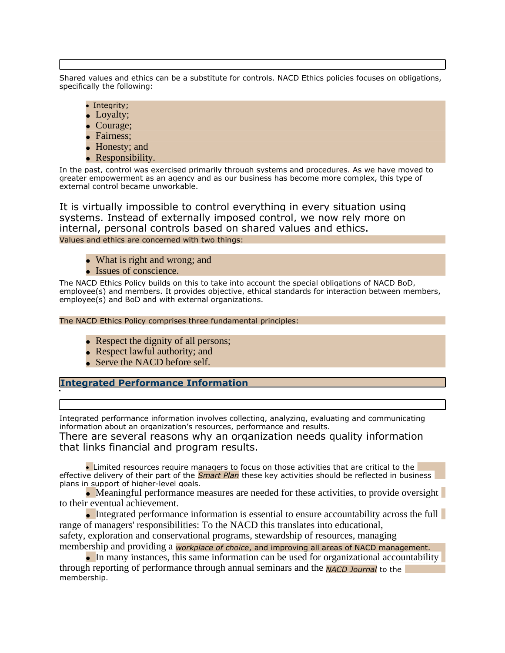Shared values and ethics can be a substitute for controls. NACD Ethics policies focuses on obligations, specifically the following:

- Integrity:
- Lovalty:
- Courage;
- Fairness:
- Honesty: and
- Responsibility.

In the past, control was exercised primarily through systems and procedures. As we have moved to greater empowerment as an agency and as our business has become more complex, this type of external control became unworkable.

It is virtually impossible to control everything in every situation using systems. Instead of externally imposed control, we now rely more on internal, personal controls based on shared values and ethics. Values and ethics are concerned with two things:

- What is right and wrong; and
- Issues of conscience.

The NACD Ethics Policy builds on this to take into account the special obligations of NACD BoD, employee(s) and members. It provides objective, ethical standards for interaction between members, employee(s) and BoD and with external organizations.

The NACD Ethics Policy comprises three fundamental principles:

- Respect the dignity of all persons;
- Respect lawful authority; and
- Serve the NACD before self.

**Integrated Performance Information** 

Integrated performance information involves collecting, analyzing, evaluating and communicating information about an organization's resources, performance and results.

There are several reasons why an organization needs quality information that links financial and program results.

 Limited resources require managers to focus on those activities that are critical to the effective delivery of their part of the *Smart Plan* these key activities should be reflected in business plans in support of higher-level goals.

• Meaningful performance measures are needed for these activities, to provide oversight to their eventual achievement.

Integrated performance information is essential to ensure accountability across the full range of managers' responsibilities: To the NACD this translates into educational, safety, exploration and conservational programs, stewardship of resources, managing

membership and providing a *workplace of choice*, and improving all areas of NACD management. • In many instances, this same information can be used for organizational accountability

through reporting of performance through annual seminars and the *NACD Journal* to the membership.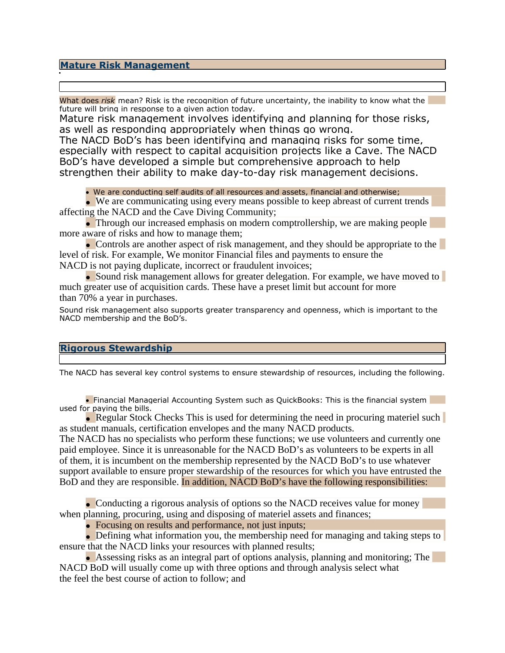## **Mature Risk Management**

What does *risk* mean? Risk is the recognition of future uncertainty, the inability to know what the future will bring in response to a given action today.

Mature risk management involves identifying and planning for those risks, as well as responding appropriately when things go wrong.

The NACD BoD's has been identifying and managing risks for some time, especially with respect to capital acquisition projects like a Cave. The NACD BoD's have developed a simple but comprehensive approach to help strengthen their ability to make day-to-day risk management decisions.

We are conducting self audits of all resources and assets, financial and otherwise;

 We are communicating using every means possible to keep abreast of current trends affecting the NACD and the Cave Diving Community;

• Through our increased emphasis on modern comptrollership, we are making people more aware of risks and how to manage them;

 Controls are another aspect of risk management, and they should be appropriate to the level of risk. For example, We monitor Financial files and payments to ensure the NACD is not paying duplicate, incorrect or fraudulent invoices;

• Sound risk management allows for greater delegation. For example, we have moved to much greater use of acquisition cards. These have a preset limit but account for more than 70% a year in purchases.

Sound risk management also supports greater transparency and openness, which is important to the NACD membership and the BoD's.

# **Rigorous Stewardship**

The NACD has several key control systems to ensure stewardship of resources, including the following.

• Financial Managerial Accounting System such as QuickBooks: This is the financial system used for paying the bills.

• Regular Stock Checks This is used for determining the need in procuring materiel such as student manuals, certification envelopes and the many NACD products.

The NACD has no specialists who perform these functions; we use volunteers and currently one paid employee. Since it is unreasonable for the NACD BoD's as volunteers to be experts in all of them, it is incumbent on the membership represented by the NACD BoD's to use whatever support available to ensure proper stewardship of the resources for which you have entrusted the BoD and they are responsible. In addition, NACD BoD's have the following responsibilities:

• Conducting a rigorous analysis of options so the NACD receives value for money when planning, procuring, using and disposing of materiel assets and finances;

• Focusing on results and performance, not just inputs;

 Defining what information you, the membership need for managing and taking steps to ensure that the NACD links your resources with planned results;

• Assessing risks as an integral part of options analysis, planning and monitoring; The NACD BoD will usually come up with three options and through analysis select what the feel the best course of action to follow; and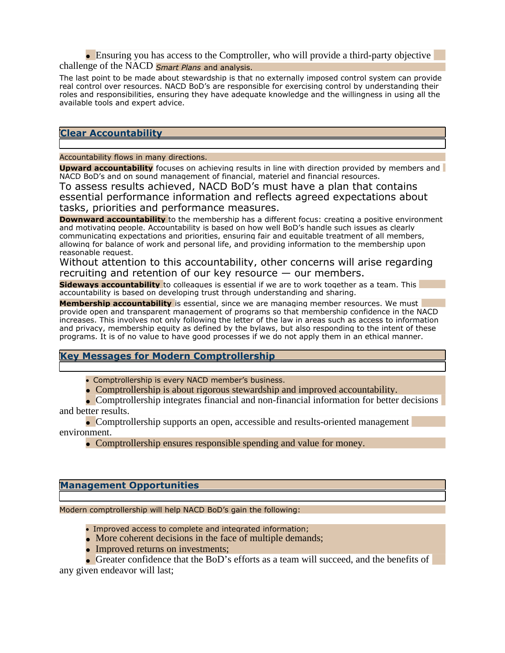Ensuring you has access to the Comptroller, who will provide a third-party objective challenge of the NACD *Smart Plans* and analysis.

The last point to be made about stewardship is that no externally imposed control system can provide real control over resources. NACD BoD's are responsible for exercising control by understanding their roles and responsibilities, ensuring they have adequate knowledge and the willingness in using all the available tools and expert advice.

# **Clear Accountability**

Accountability flows in many directions.

**Upward accountability** focuses on achieving results in line with direction provided by members and NACD BoD's and on sound management of financial, materiel and financial resources.

To assess results achieved, NACD BoD's must have a plan that contains essential performance information and reflects agreed expectations about tasks, priorities and performance measures.

**Downward accountability** to the membership has a different focus: creating a positive environment and motivating people. Accountability is based on how well BoD's handle such issues as clearly communicating expectations and priorities, ensuring fair and equitable treatment of all members, allowing for balance of work and personal life, and providing information to the membership upon reasonable request.

Without attention to this accountability, other concerns will arise regarding recruiting and retention of our key resource — our members.

**Sideways accountability** to colleagues is essential if we are to work together as a team. This accountability is based on developing trust through understanding and sharing.

**Membership accountability** is essential, since we are managing member resources. We must provide open and transparent management of programs so that membership confidence in the NACD increases. This involves not only following the letter of the law in areas such as access to information and privacy, membership equity as defined by the bylaws, but also responding to the intent of these programs. It is of no value to have good processes if we do not apply them in an ethical manner.

## **Key Messages for Modern Comptrollership**

Comptrollership is every NACD member's business.

Comptrollership is about rigorous stewardship and improved accountability.

 Comptrollership integrates financial and non-financial information for better decisions and better results.

 Comptrollership supports an open, accessible and results-oriented management environment.

• Comptrollership ensures responsible spending and value for money.

# **Management Opportunities**

Modern comptrollership will help NACD BoD's gain the following:

- Improved access to complete and integrated information;
- More coherent decisions in the face of multiple demands;
- Improved returns on investments;

 Greater confidence that the BoD's efforts as a team will succeed, and the benefits of any given endeavor will last;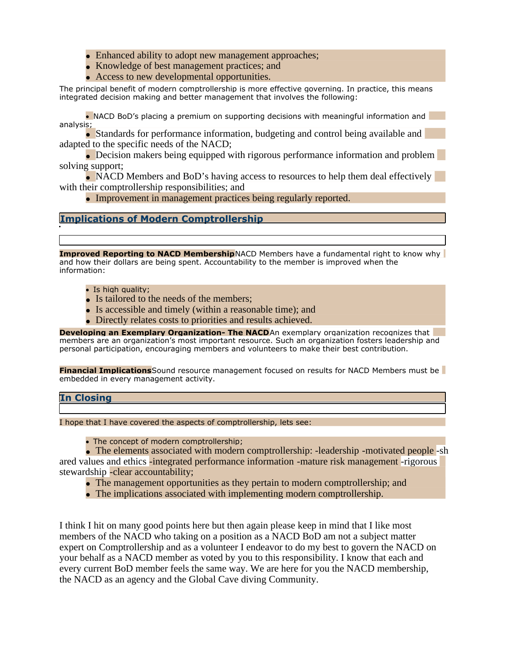- Enhanced ability to adopt new management approaches:
- Knowledge of best management practices; and
- Access to new developmental opportunities.

The principal benefit of modern comptrollership is more effective governing. In practice, this means integrated decision making and better management that involves the following:

• NACD BoD's placing a premium on supporting decisions with meaningful information and analysis;

 Standards for performance information, budgeting and control being available and adapted to the specific needs of the NACD;

• Decision makers being equipped with rigorous performance information and problem solving support;

• NACD Members and BoD's having access to resources to help them deal effectively with their comptrollership responsibilities; and

• Improvement in management practices being regularly reported.

# **Implications of Modern Comptrollership**

**Improved Reporting to NACD Membership**NACD Members have a fundamental right to know why and how their dollars are being spent. Accountability to the member is improved when the information:

- Is high quality:
- Is tailored to the needs of the members;
- Is accessible and timely (within a reasonable time); and
- Directly relates costs to priorities and results achieved.

**Developing an Exemplary Organization- The NACD**An exemplary organization recognizes that members are an organization's most important resource. Such an organization fosters leadership and personal participation, encouraging members and volunteers to make their best contribution.

**Financial Implications** Sound resource management focused on results for NACD Members must be embedded in every management activity.

# **In Closing**

I hope that I have covered the aspects of comptrollership, lets see:

• The concept of modern comptrollership;

• The elements associated with modern comptrollership: -leadership -motivated people -sh ared values and ethics -integrated performance information -mature risk management -rigorous stewardship -clear accountability;

• The management opportunities as they pertain to modern comptrollership; and

• The implications associated with implementing modern comptrollership.

I think I hit on many good points here but then again please keep in mind that I like most members of the NACD who taking on a position as a NACD BoD am not a subject matter expert on Comptrollership and as a volunteer I endeavor to do my best to govern the NACD on your behalf as a NACD member as voted by you to this responsibility. I know that each and every current BoD member feels the same way. We are here for you the NACD membership, the NACD as an agency and the Global Cave diving Community.